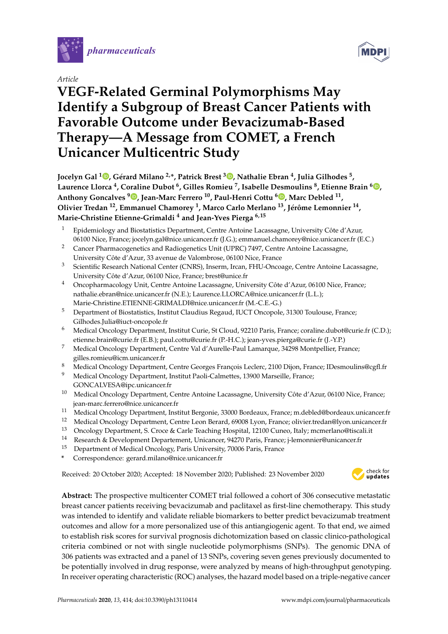

*Article*

# **MDP**

## **VEGF-Related Germinal Polymorphisms May Identify a Subgroup of Breast Cancer Patients with Favorable Outcome under Bevacizumab-Based Therapy—A Message from COMET, a French Unicancer Multicentric Study**

**Jocelyn Gal <sup>1</sup> [,](https://orcid.org/0000-0002-1802-118X) Gérard Milano 2,\*, Patrick Brest <sup>3</sup> [,](https://orcid.org/0000-0002-1252-4747) Nathalie Ebran <sup>4</sup> , Julia Gilhodes <sup>5</sup> , Laurence Llorca <sup>4</sup> , Coraline Dubot <sup>6</sup> , Gilles Romieu <sup>7</sup> , Isabelle Desmoulins <sup>8</sup> , Etienne Brain <sup>6</sup> [,](https://orcid.org/0000-0003-0881-9371) Anthony Goncalves [9](https://orcid.org/0000-0001-7570-7439) , Jean-Marc Ferrero <sup>10</sup>, Paul-Henri Cottu <sup>6</sup> [,](https://orcid.org/0000-0001-6434-3932) Marc Debled <sup>11</sup> , Olivier Tredan <sup>12</sup>, Emmanuel Chamorey <sup>1</sup> , Marco Carlo Merlano <sup>13</sup>, Jérôme Lemonnier <sup>14</sup> , Marie-Christine Etienne-Grimaldi <sup>4</sup> and Jean-Yves Pierga 6,15**

- <sup>1</sup> Epidemiology and Biostatistics Department, Centre Antoine Lacassagne, University Côte d'Azur, 06100 Nice, France; jocelyn.gal@nice.unicancer.fr (J.G.); emmanuel.chamorey@nice.unicancer.fr (E.C.)
- <sup>2</sup> Cancer Pharmacogenetics and Radiogenetics Unit (UPRC) 7497, Centre Antoine Lacassagne, University Côte d'Azur, 33 avenue de Valombrose, 06100 Nice, France
- <sup>3</sup> Scientific Research National Center (CNRS), Inserm, Ircan, FHU-Oncoage, Centre Antoine Lacassagne, University Côte d'Azur, 06100 Nice, France; brest@unice.fr
- <sup>4</sup> Oncopharmacology Unit, Centre Antoine Lacassagne, University Côte d'Azur, 06100 Nice, France; nathalie.ebran@nice.unicancer.fr (N.E.); Laurence.LLORCA@nice.unicancer.fr (L.L.); Marie-Christine.ETIENNE-GRIMALDI@nice.unicancer.fr (M.-C.E.-G.)
- <sup>5</sup> Department of Biostatistics, Institut Claudius Regaud, IUCT Oncopole, 31300 Toulouse, France; Gilhodes.Julia@iuct-oncopole.fr
- <sup>6</sup> Medical Oncology Department, Institut Curie, St Cloud, 92210 Paris, France; coraline.dubot@curie.fr (C.D.); etienne.brain@curie.fr (E.B.); paul.cottu@curie.fr (P.-H.C.); jean-yves.pierga@curie.fr (J.-Y.P.)
- <sup>7</sup> Medical Oncology Department, Centre Val d'Aurelle-Paul Lamarque, 34298 Montpellier, France; gilles.romieu@icm.unicancer.fr
- <sup>8</sup> Medical Oncology Department, Centre Georges François Leclerc, 2100 Dijon, France; IDesmoulins@cgfl.fr
- <sup>9</sup> Medical Oncology Department, Institut Paoli-Calmettes, 13900 Marseille, France; GONCALVESA@ipc.unicancer.fr
- <sup>10</sup> Medical Oncology Department, Centre Antoine Lacassagne, University Côte d'Azur, 06100 Nice, France; jean-marc.ferrero@nice.unicancer.fr
- <sup>11</sup> Medical Oncology Department, Institut Bergonie, 33000 Bordeaux, France; m.debled@bordeaux.unicancer.fr
- <sup>12</sup> Medical Oncology Department, Centre Leon Berard, 69008 Lyon, France; olivier.tredan@lyon.unicancer.fr<br><sup>13</sup> Oncology Department S. Croce & Carle Teaching Hospital, 12100 Cupeo, Italy: mcmerlano@tiscali.it
- <sup>13</sup> Oncology Department, S. Croce & Carle Teaching Hospital, 12100 Cuneo, Italy; mcmerlano@tiscali.it
- <sup>14</sup> Research & Development Departement, Unicancer, 94270 Paris, France; j-lemonnier@unicancer.fr
- <sup>15</sup> Department of Medical Oncology, Paris University, 70006 Paris, France
- **\*** Correspondence: gerard.milano@nice.unicancer.fr

Received: 20 October 2020; Accepted: 18 November 2020; Published: 23 November 2020 -



**Abstract:** The prospective multicenter COMET trial followed a cohort of 306 consecutive metastatic breast cancer patients receiving bevacizumab and paclitaxel as first-line chemotherapy. This study was intended to identify and validate reliable biomarkers to better predict bevacizumab treatment outcomes and allow for a more personalized use of this antiangiogenic agent. To that end, we aimed to establish risk scores for survival prognosis dichotomization based on classic clinico-pathological criteria combined or not with single nucleotide polymorphisms (SNPs). The genomic DNA of 306 patients was extracted and a panel of 13 SNPs, covering seven genes previously documented to be potentially involved in drug response, were analyzed by means of high-throughput genotyping. In receiver operating characteristic (ROC) analyses, the hazard model based on a triple-negative cancer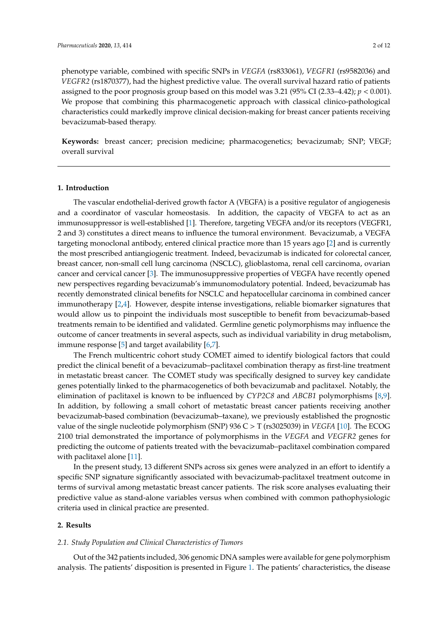phenotype variable, combined with specific SNPs in *VEGFA* (rs833061), *VEGFR1* (rs9582036) and *VEGFR2* (rs1870377), had the highest predictive value. The overall survival hazard ratio of patients assigned to the poor prognosis group based on this model was 3.21 (95% CI (2.33–4.42); *p* < 0.001). We propose that combining this pharmacogenetic approach with classical clinico-pathological characteristics could markedly improve clinical decision-making for breast cancer patients receiving bevacizumab-based therapy.

**Keywords:** breast cancer; precision medicine; pharmacogenetics; bevacizumab; SNP; VEGF; overall survival

#### **1. Introduction**

The vascular endothelial-derived growth factor A (VEGFA) is a positive regulator of angiogenesis and a coordinator of vascular homeostasis. In addition, the capacity of VEGFA to act as an immunosuppressor is well-established [\[1\]](#page-10-0). Therefore, targeting VEGFA and/or its receptors (VEGFR1, 2 and 3) constitutes a direct means to influence the tumoral environment. Bevacizumab, a VEGFA targeting monoclonal antibody, entered clinical practice more than 15 years ago [\[2\]](#page-10-1) and is currently the most prescribed antiangiogenic treatment. Indeed, bevacizumab is indicated for colorectal cancer, breast cancer, non-small cell lung carcinoma (NSCLC), glioblastoma, renal cell carcinoma, ovarian cancer and cervical cancer [\[3\]](#page-10-2). The immunosuppressive properties of VEGFA have recently opened new perspectives regarding bevacizumab's immunomodulatory potential. Indeed, bevacizumab has recently demonstrated clinical benefits for NSCLC and hepatocellular carcinoma in combined cancer immunotherapy [\[2](#page-10-1)[,4\]](#page-10-3). However, despite intense investigations, reliable biomarker signatures that would allow us to pinpoint the individuals most susceptible to benefit from bevacizumab-based treatments remain to be identified and validated. Germline genetic polymorphisms may influence the outcome of cancer treatments in several aspects, such as individual variability in drug metabolism, immune response [\[5\]](#page-10-4) and target availability [\[6,](#page-10-5)[7\]](#page-11-0).

The French multicentric cohort study COMET aimed to identify biological factors that could predict the clinical benefit of a bevacizumab–paclitaxel combination therapy as first-line treatment in metastatic breast cancer. The COMET study was specifically designed to survey key candidate genes potentially linked to the pharmacogenetics of both bevacizumab and paclitaxel. Notably, the elimination of paclitaxel is known to be influenced by *CYP2C8* and *ABCB1* polymorphisms [\[8,](#page-11-1)[9\]](#page-11-2). In addition, by following a small cohort of metastatic breast cancer patients receiving another bevacizumab-based combination (bevacizumab–taxane), we previously established the prognostic value of the single nucleotide polymorphism (SNP) 936 C > T (rs3025039) in *VEGFA* [\[10\]](#page-11-3). The ECOG 2100 trial demonstrated the importance of polymorphisms in the *VEGFA* and *VEGFR2* genes for predicting the outcome of patients treated with the bevacizumab–paclitaxel combination compared with paclitaxel alone [\[11\]](#page-11-4).

In the present study, 13 different SNPs across six genes were analyzed in an effort to identify a specific SNP signature significantly associated with bevacizumab-paclitaxel treatment outcome in terms of survival among metastatic breast cancer patients. The risk score analyses evaluating their predictive value as stand-alone variables versus when combined with common pathophysiologic criteria used in clinical practice are presented.

#### **2. Results**

#### *2.1. Study Population and Clinical Characteristics of Tumors*

Out of the 342 patients included, 306 genomic DNA samples were available for gene polymorphism analysis. The patients' disposition is presented in Figure [1.](#page-2-0) The patients' characteristics, the disease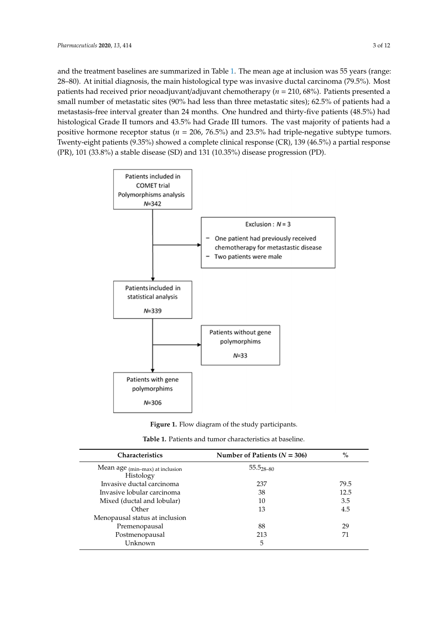and the treatment baselines are summarized in Table [1.](#page-3-0) The mean age at inclusion was 55 years (range: 28–80). At initial diagnosis, the main histological type was invasive ductal carcinoma (79.5%). Most ductal carcinoma (79.5%). Most patients had received prior neoadjuvant/adjuvant chemotherapy (*n*  patients had received prior neoadjuvant/adjuvant chemotherapy ( $n = 210$ , 68%). Patients presented a small number of metastatic sites (90% had less than three metastatic sites); 62.5% of patients had a metastasis-free interval greater than 24 months. One hundred and thirty-five patients (48.5%) had histological Grade II tumors and 43.5% had Grade III tumors. The vast majority of patients had a vast majority of patients had a positive hormone receptor status (*n* = 206, 76.5%) and 23.5% had triplepositive hormone receptor status ( $n = 206$ , 76.5%) and 23.5% had triple-negative subtype tumors. Twenty-eight patients (9.35%) showed a complete clinical response (CR), 139 (46.5%) a partial response  $(\mathrm{PR})$ , 101  $(33.8\%)$  a stable disease  $(\mathrm{SD})$  and 131  $(10.35\%)$  disease progression  $(\mathrm{PD})$ .

<span id="page-2-0"></span>

**Figure 1.** Flow diagram of the study participants.

| <b>Characteristics</b>                       | Number of Patients ( $N = 306$ ) | $\%$ |
|----------------------------------------------|----------------------------------|------|
| Mean age (min-max) at inclusion<br>Histology | $55.528 - 80$                    |      |
| Invasive ductal carcinoma                    | 237                              | 79.5 |
| Invasive lobular carcinoma                   | 38                               | 12.5 |
| Mixed (ductal and lobular)                   | 10                               | 3.5  |
| Other                                        | 13                               | 4.5  |
| Menopausal status at inclusion               |                                  |      |
| Premenopausal                                | 88                               | 29   |
| Postmenopausal                               | 213                              | 71   |
| Unknown                                      | 5                                |      |

**Figure 1.** Flow diagram of the study participants. **Table 1.** Patients and tumor characteristics at baseline.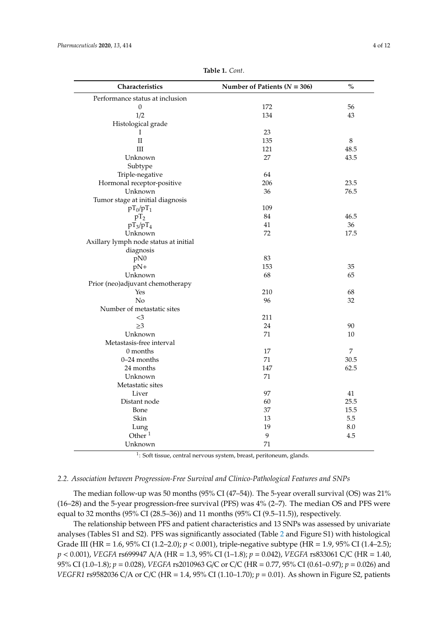<span id="page-3-0"></span>

| Characteristics                       | Number of Patients ( $N = 306$ ) | $\mathbf{O}_{\mathbf{O}}^{\prime}$ |
|---------------------------------------|----------------------------------|------------------------------------|
| Performance status at inclusion       |                                  |                                    |
| $\theta$                              | 172                              | 56                                 |
| 1/2                                   | 134                              | 43                                 |
| Histological grade                    |                                  |                                    |
| T                                     | 23                               |                                    |
| $\rm II$                              | 135                              | 8                                  |
| III                                   | 121                              | 48.5                               |
| Unknown                               | 27                               | 43.5                               |
| Subtype                               |                                  |                                    |
| Triple-negative                       | 64                               |                                    |
| Hormonal receptor-positive            | 206                              | 23.5                               |
| Unknown                               | 36                               | 76.5                               |
| Tumor stage at initial diagnosis      |                                  |                                    |
| $pT_0/pT_1$                           | 109                              |                                    |
| $pT_2$                                | 84                               | 46.5                               |
| $pT_3/pT_4$                           | 41                               | 36                                 |
| Unknown                               | 72                               | 17.5                               |
| Axillary lymph node status at initial |                                  |                                    |
| diagnosis                             |                                  |                                    |
| pN0                                   | 83                               |                                    |
| $pN+$                                 | 153                              | 35                                 |
| Unknown                               | 68                               | 65                                 |
| Prior (neo)adjuvant chemotherapy      |                                  |                                    |
| Yes                                   | 210                              | 68                                 |
| No                                    | 96                               | 32                                 |
| Number of metastatic sites            |                                  |                                    |
| $<$ 3                                 | 211                              |                                    |
| $\geq 3$                              | 24                               | 90                                 |
| Unknown                               | 71                               | 10                                 |
| Metastasis-free interval              |                                  |                                    |
| 0 months                              | 17                               | $\overline{7}$                     |
| 0-24 months                           | 71                               | 30.5                               |
| 24 months                             | 147                              | 62.5                               |
| Unknown                               | 71                               |                                    |
| Metastatic sites                      |                                  |                                    |
| Liver                                 | 97                               | 41                                 |
| Distant node                          | 60                               | 25.5                               |
| Bone                                  | 37                               | 15.5                               |
| Skin                                  | 13                               | 5.5                                |
| Lung                                  | 19                               | 8.0                                |
| Other $1$                             | 9                                | 4.5                                |
| Unknown                               | 71                               |                                    |

**Table 1.** *Cont*.

<sup>1</sup>: Soft tissue, central nervous system, breast, peritoneum, glands.

#### *2.2. Association between Progression-Free Survival and Clinico-Pathological Features and SNPs*

The median follow-up was 50 months (95% CI (47–54)). The 5-year overall survival (OS) was 21% (16–28) and the 5-year progression-free survival (PFS) was 4% (2–7). The median OS and PFS were equal to 32 months (95% CI (28.5–36)) and 11 months (95% CI (9.5–11.5)), respectively.

The relationship between PFS and patient characteristics and 13 SNPs was assessed by univariate analyses (Tables S1 and S2). PFS was significantly associated (Table [2](#page-4-0) and Figure S1) with histological Grade III (HR = 1.6, 95% CI (1.2–2.0); *p* < 0.001), triple-negative subtype (HR = 1.9, 95% CI (1.4–2.5); *p* < 0.001), *VEGFA* rs699947 A/A (HR = 1.3, 95% CI (1–1.8); *p* = 0.042), *VEGFA* rs833061 C/C (HR = 1.40, 95% CI (1.0–1.8); *p* = 0.028), *VEGFA* rs2010963 G/C or C/C (HR = 0.77, 95% CI (0.61–0.97); *p* = 0.026) and *VEGFR1* rs9582036 C/A or C/C (HR = 1.4, 95% CI (1.10-1.70);  $p = 0.01$ ). As shown in Figure S2, patients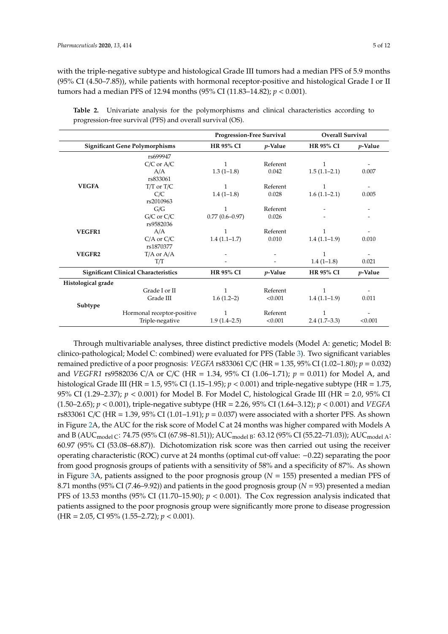with the triple-negative subtype and histological Grade III tumors had a median PFS of 5.9 months (95% CI (4.50–7.85)), while patients with hormonal receptor-positive and histological Grade I or II tumors had a median PFS of 12.94 months (95% CI (11.83–14.82); *p* < 0.001).

|                    |                                             | <b>Progression-Free Survival</b> |            | <b>Overall Survival</b>        |                 |
|--------------------|---------------------------------------------|----------------------------------|------------|--------------------------------|-----------------|
|                    | <b>Significant Gene Polymorphisms</b>       | <b>HR 95% CI</b>                 | $p$ -Value | <b>HR 95% CI</b>               | <i>p</i> -Value |
|                    | rs699947                                    |                                  |            |                                |                 |
|                    | $C/C$ or $A/C$                              | 1                                | Referent   | $\mathbf{1}$                   |                 |
|                    | A/A                                         | $1.3(1-1.8)$                     | 0.042      | $1.5(1.1-2.1)$                 | 0.007           |
|                    | rs833061                                    |                                  |            |                                |                 |
| <b>VEGFA</b>       | $T/T$ or $T/C$                              | 1                                | Referent   | 1                              |                 |
|                    | C/C                                         | $1.4(1-1.8)$                     | 0.028      | $1.6(1.1-2.1)$                 | 0.005           |
|                    | rs2010963                                   |                                  |            |                                |                 |
|                    | G/G                                         | 1                                | Referent   |                                |                 |
|                    | $G/C$ or $C/C$                              | $0.77(0.6 - 0.97)$               | 0.026      |                                |                 |
|                    | rs9582036                                   |                                  |            |                                |                 |
| <b>VEGFR1</b>      | A/A                                         | 1                                | Referent   | 1                              |                 |
|                    | $C/A$ or $C/C$                              | $1.4(1.1-1.7)$                   | 0.010      | $1.4(1.1-1.9)$                 | 0.010           |
|                    | rs1870377                                   |                                  |            |                                |                 |
| VEGFR2             | $T/A$ or $A/A$                              |                                  |            | 1                              |                 |
|                    | T/T                                         |                                  |            | $1.4(1-1.8)$                   | 0.021           |
|                    | <b>Significant Clinical Characteristics</b> | <b>HR 95% CI</b>                 | $p$ -Value | <b>HR 95% CI</b><br>$p$ -Value |                 |
| Histological grade |                                             |                                  |            |                                |                 |
|                    | Grade I or II                               |                                  | Referent   | 1                              |                 |
|                    | Grade III                                   | $1.6(1.2-2)$                     | < 0.001    | $1.4(1.1-1.9)$                 | 0.011           |
| Subtype            |                                             |                                  |            |                                |                 |
|                    | Hormonal receptor-positive                  | 1                                | Referent   | 1                              |                 |
|                    | Triple-negative                             | $1.9(1.4-2.5)$                   | < 0.001    | $2.4(1.7-3.3)$                 | < 0.001         |

<span id="page-4-0"></span>**Table 2.** Univariate analysis for the polymorphisms and clinical characteristics according to progression-free survival (PFS) and overall survival (OS).

Through multivariable analyses, three distinct predictive models (Model A: genetic; Model B: clinico-pathological; Model C: combined) were evaluated for PFS (Table [3\)](#page-5-0). Two significant variables remained predictive of a poor prognosis: *VEGFA* rs833061 C/C (HR = 1.35, 95% CI (1.02–1.80); *p* = 0.032) and *VEGFR1* rs9582036 C/A or C/C (HR = 1.34, 95% CI (1.06–1.71); *p* = 0.011) for Model A, and histological Grade III (HR = 1.5, 95% CI (1.15–1.95); *p* < 0.001) and triple-negative subtype (HR = 1.75, 95% CI (1.29–2.37); *p* < 0.001) for Model B. For Model C, histological Grade III (HR = 2.0, 95% CI (1.50–2.65); *p* < 0.001), triple-negative subtype (HR = 2.26, 95% CI (1.64–3.12); *p* < 0.001) and *VEGFA* rs833061 C/C (HR = 1.39, 95% CI (1.01–1.91); *p* = 0.037) were associated with a shorter PFS. As shown in Figure [2A](#page-5-1), the AUC for the risk score of Model C at 24 months was higher compared with Models A and B (AUC<sub>model C</sub>: 74.75 (95% CI (67.98–81.51)); AUC<sub>model B</sub>: 63.12 (95% CI (55.22–71.03)); AUC<sub>model A</sub>: 60.97 (95% CI (53.08–68.87)). Dichotomization risk score was then carried out using the receiver operating characteristic (ROC) curve at 24 months (optimal cut-off value: −0.22) separating the poor from good prognosis groups of patients with a sensitivity of 58% and a specificity of 87%. As shown in Figure [3A](#page-6-0), patients assigned to the poor prognosis group (*N* = 155) presented a median PFS of 8.71 months (95% CI (7.46–9.92)) and patients in the good prognosis group (*N* = 93) presented a median PFS of 13.53 months (95% CI (11.70–15.90); *p* < 0.001). The Cox regression analysis indicated that patients assigned to the poor prognosis group were significantly more prone to disease progression (HR = 2.05, CI 95% (1.55–2.72); *p* < 0.001).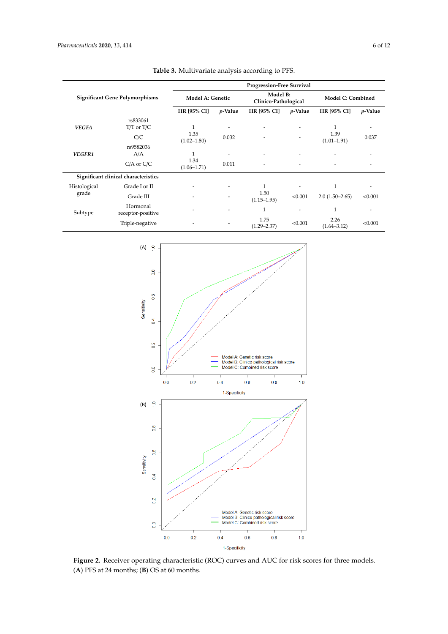<span id="page-5-0"></span>

|                                       |                                      |                         |                          | Progression-Free Survival        |                          |                          |                          |
|---------------------------------------|--------------------------------------|-------------------------|--------------------------|----------------------------------|--------------------------|--------------------------|--------------------------|
| <b>Significant Gene Polymorphisms</b> |                                      | Model A: Genetic        |                          | Model B:<br>Clinico-Pathological |                          | <b>Model C: Combined</b> |                          |
|                                       |                                      | <b>HR [95% CI]</b>      | <i>p</i> -Value          | <b>HR [95% CI]</b>               | <i>p</i> -Value          | <b>HR [95% CI]</b>       | <i>p</i> -Value          |
|                                       | rs833061                             |                         |                          |                                  |                          |                          |                          |
| <b>VEGFA</b>                          | $T/T$ or $T/C$                       | 1                       | ۰                        | ٠                                |                          | 1                        | ۰                        |
|                                       | C/C                                  | 1.35<br>$(1.02 - 1.80)$ | 0.032                    |                                  |                          | 1.39<br>$(1.01 - 1.91)$  | 0.037                    |
|                                       | rs9582036                            |                         |                          |                                  |                          |                          |                          |
| VEGFR1                                | A/A                                  |                         | $\overline{\phantom{a}}$ | ٠                                |                          |                          |                          |
|                                       | $C/A$ or $C/C$                       | 1.34<br>$(1.06 - 1.71)$ | 0.011                    | ٠                                | $\overline{\phantom{a}}$ | ٠                        | $\overline{\phantom{a}}$ |
|                                       | Significant clinical characteristics |                         |                          |                                  |                          |                          |                          |
| Histological                          | Grade I or II                        |                         | ٠                        | $\mathbf{1}$                     |                          | $\mathbf{1}$             |                          |
| grade                                 | Grade III                            |                         |                          | 1.50<br>$(1.15 - 1.95)$          | < 0.001                  | $2.0(1.50-2.65)$         | < 0.001                  |
| Subtype                               | Hormonal<br>receptor-positive        |                         | ۰                        | 1                                | $\overline{\phantom{a}}$ | $\mathbf{1}$             | ۰                        |
|                                       | Triple-negative                      |                         |                          | 1.75<br>$(1.29 - 2.37)$          | < 0.001                  | 2.26<br>$(1.64 - 3.12)$  | < 0.001                  |

**Table 3.** Multivariate analysis according to PFS.

<span id="page-5-1"></span>

**Figure 2.** Receiver operating characteristic (ROC) curves and AUC for risk scores for three models. (**A**) PFS at 24 months; (**B**) OS at 60 months.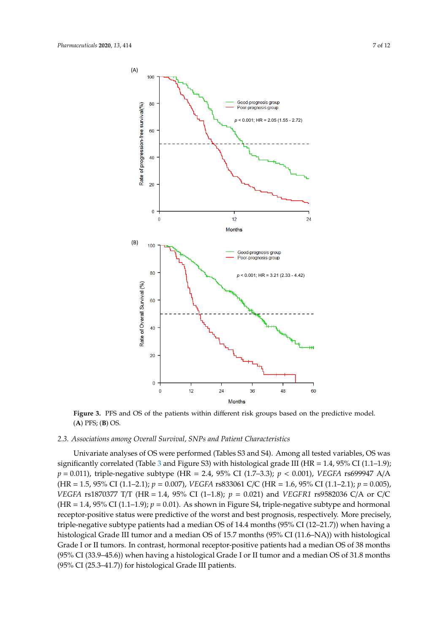<span id="page-6-0"></span>

**Figure 3.** PFS and OS of the patients within different risk groups based on the predictive model. PFS; (**B**) OS. (**A**) PFS; (**B**) OS.

### *2.3. Associations among Overall Survival, SNPs and Patient Characteristics 2.3. Associations among Overall Survival, SNPs and Patient Characteristics*

significantly correlated (Table [3](#page-5-0) and Figure S3) with histological grade III (HR = 1.4, 95% CI (1.1–1.9); *p* = 0.011), triple-negative subtype (HR = 2.4, 95% CI (1.7–3.3); *p* < 0.001), *VEGFA* rs699947 A/A (HR = 1.5, 95% CI (1.1–2.1);  $p = 0.007$ ), VEGFA rs833061 C/C (HR = 1.6, 95% CI (1.1–2.1);  $p = 0.005$ ), VEGFA rs1870377 T/T (HR = 1.4, 95% CI (1–1.8);  $p = 0.021$ ) and VEGFR1 rs9582036 C/A or C/C  $V = 1.4$ , 95% CI (1.1–1.9); *p* = 0.01). As shown in Figure S4, triple-negative subtype and hormonal receptor-positive status were predictive of the worst and best prognosis, respectively. More precisely, positive status were predictive of the worst and best prognosis, respectively. More precisely, triple-triple-negative subtype patients had a median OS of 14.4 months (95% CI (12–21.7)) when having a negative subtype patients had a median OS of 14.4 months (95% CI (12–21.7)) when having a histological Grade III tumor and a median OS of 15.7 months (95% CI (11.6–NA)) with histological histological Grade III tumor and a median OS of 15.7 months (95% CI (11.6–NA)) with histological Grade I or II tumors. In contrast, hormonal receptor-positive patients had a median OS of 38 months  $G = 169/CI (22.0 \text{ A E} \cdot \text{s})$ . In contrast, hormonic receptor-positive patients had a median OS of 31.8 months had a median OS of 31.8 months (95% CI (33.9–45.6)) when having a histological Grade I or II tumor and a median OS of 31.8 months (95% CI (33.9–45.6)) when having a histological Grade I or II tumor and a median OS of 31.8 months (95% CI (25.3–41.7)) for histological Grade III patients. (95% CI (25.3–41.7)) for histological Grade III patients.Univariate analyses of OS were performed (Tables S3 and S4). Among all tested variables, OS was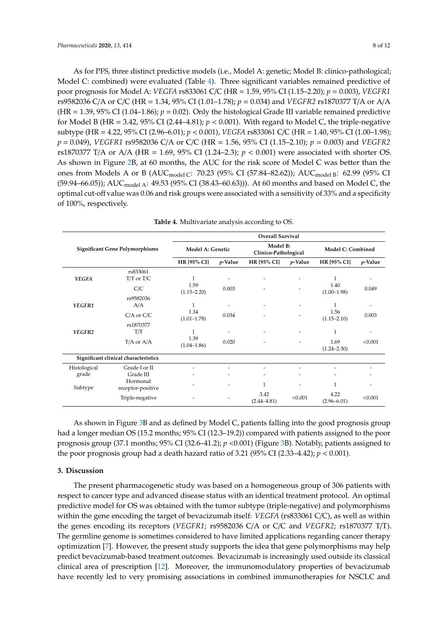As for PFS, three distinct predictive models (i.e., Model A: genetic; Model B: clinico-pathological; Model C: combined) were evaluated (Table [4\)](#page-7-0). Three significant variables remained predictive of poor prognosis for Model A: *VEGFA* rs833061 C/C (HR = 1.59, 95% CI (1.15–2.20); *p* = 0.003), *VEGFR1* rs9582036 C/A or C/C (HR = 1.34, 95% CI (1.01–1.78); *p* = 0.034) and *VEGFR2* rs1870377 T/A or A/A  $(HR = 1.39, 95\% \text{ CI } (1.04-1.86); p = 0.02)$ . Only the histological Grade III variable remained predictive for Model B (HR = 3.42,  $95\%$  CI (2.44–4.81);  $p < 0.001$ ). With regard to Model C, the triple-negative subtype (HR = 4.22, 95% CI (2.96–6.01); *p* < 0.001), *VEGFA* rs833061 C/C (HR = 1.40, 95% CI (1.00–1.98); *p* = 0.049), *VEGFR1* rs9582036 C/A or C/C (HR = 1.56, 95% CI (1.15–2.10); *p* = 0.003) and *VEGFR2* rs1870377 T/A or A/A (HR = 1.69, 95% CI (1.24–2.3);  $p < 0.001$ ) were associated with shorter OS. As shown in Figure [2B](#page-5-1), at 60 months, the AUC for the risk score of Model C was better than the ones from Models A or B (AUC<sub>model C</sub>: 70.23 (95% CI (57.84–82.62)); AUC<sub>model B</sub>: 62.99 (95% CI  $(59.94–66.05)$ ; AUC<sub>model A</sub>: 49.53 (95% CI (38.43–60.63))). At 60 months and based on Model C, the optimal cut-off value was 0.06 and risk groups were associated with a sensitivity of 33% and a specificity of 100%, respectively.

<span id="page-7-0"></span>

|                                       |                                      |                         |                 | <b>Overall Survival</b>          |                 |                          |                 |
|---------------------------------------|--------------------------------------|-------------------------|-----------------|----------------------------------|-----------------|--------------------------|-----------------|
| <b>Significant Gene Polymorphisms</b> |                                      | Model A: Genetic        |                 | Model B:<br>Clinico-Pathological |                 | <b>Model C: Combined</b> |                 |
|                                       |                                      | HR [95% CI]             | <i>p</i> -Value | <b>HR [95% CI]</b>               | <i>p</i> -Value | <b>HR [95% CI]</b>       | <i>p</i> -Value |
| <b>VEGFA</b>                          | rs833061<br>$T/T$ or $T/C$           | 1                       |                 |                                  |                 | 1                        |                 |
|                                       | C/C                                  | 1.59<br>$(1.15 - 2.20)$ | 0.003           |                                  |                 | 1.40<br>$(1.00-1.98)$    | 0.049           |
| VEGFR1                                | rs9582036<br>A/A                     | 1                       |                 |                                  |                 | 1                        |                 |
|                                       | $C/A$ or $C/C$                       | 1.34<br>$(1.01 - 1.78)$ | 0.034           |                                  |                 | 1.56<br>$(1.15 - 2.10)$  | 0.003           |
| VEGFR2                                | rs1870377<br>T/T                     | 1                       | ٠               |                                  |                 | 1                        |                 |
|                                       | $T/A$ or $A/A$                       | 1.39<br>$(1.04 - 1.86)$ | 0.020           |                                  |                 | 1.69<br>$(1.24 - 2.30)$  | < 0.001         |
|                                       | Significant clinical characteristics |                         |                 |                                  |                 |                          |                 |
| Histological                          | Grade I or II                        |                         |                 |                                  | ۰               | ٠                        | ٠               |
| grade                                 | Grade III                            |                         |                 |                                  |                 |                          |                 |
| Subtype                               | Hormonal<br>receptor-positive        | ۰                       |                 | 1                                | ۰               |                          | ۰               |
|                                       | Triple-negative                      |                         |                 | 3.42<br>$(2.44 - 4.81)$          | < 0.001         | 4.22<br>$(2.96 - 6.01)$  | < 0.001         |

|  | Table 4. Multivariate analysis according to OS. |  |  |  |
|--|-------------------------------------------------|--|--|--|
|--|-------------------------------------------------|--|--|--|

As shown in Figure [3B](#page-6-0) and as defined by Model C, patients falling into the good prognosis group had a longer median OS (15.2 months; 95% CI (12.3–19.2)) compared with patients assigned to the poor prognosis group (37.1 months; 95% CI (32.6–41.2); *p* <0.001) (Figure [3B](#page-6-0)). Notably, patients assigned to the poor prognosis group had a death hazard ratio of 3.21 (95% CI (2.33–4.42);  $p < 0.001$ ).

#### **3. Discussion**

The present pharmacogenetic study was based on a homogeneous group of 306 patients with respect to cancer type and advanced disease status with an identical treatment protocol. An optimal predictive model for OS was obtained with the tumor subtype (triple-negative) and polymorphisms within the gene encoding the target of bevacizumab itself: *VEGFA* (rs833061 C/C), as well as within the genes encoding its receptors (*VEGFR1*; rs9582036 C/A or C/C and *VEGFR2*; rs1870377 T/T). The germline genome is sometimes considered to have limited applications regarding cancer therapy optimization [\[7\]](#page-11-0). However, the present study supports the idea that gene polymorphisms may help predict bevacizumab-based treatment outcomes. Bevacizumab is increasingly used outside its classical clinical area of prescription [\[12\]](#page-11-5). Moreover, the immunomodulatory properties of bevacizumab have recently led to very promising associations in combined immunotherapies for NSCLC and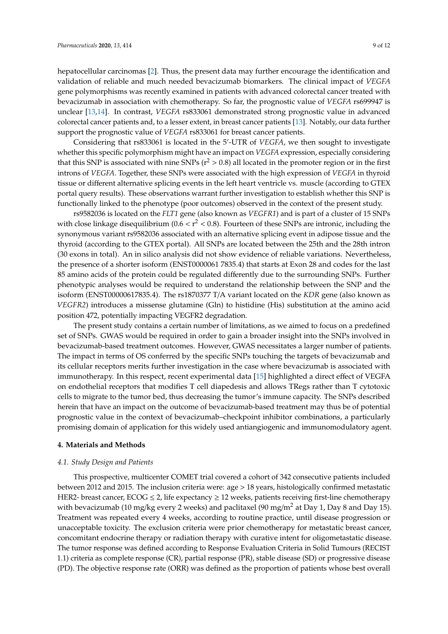hepatocellular carcinomas [\[2\]](#page-10-1). Thus, the present data may further encourage the identification and validation of reliable and much needed bevacizumab biomarkers. The clinical impact of *VEGFA* gene polymorphisms was recently examined in patients with advanced colorectal cancer treated with bevacizumab in association with chemotherapy. So far, the prognostic value of *VEGFA* rs699947 is unclear [\[13](#page-11-6)[,14\]](#page-11-7). In contrast, *VEGFA* rs833061 demonstrated strong prognostic value in advanced colorectal cancer patients and, to a lesser extent, in breast cancer patients [\[13\]](#page-11-6). Notably, our data further support the prognostic value of *VEGFA* rs833061 for breast cancer patients.

Considering that rs833061 is located in the 5'-UTR of *VEGFA*, we then sought to investigate whether this specific polymorphism might have an impact on *VEGFA* expression, especially considering that this SNP is associated with nine SNPs ( $r^2 > 0.8$ ) all located in the promoter region or in the first introns of *VEGFA*. Together, these SNPs were associated with the high expression of *VEGFA* in thyroid tissue or different alternative splicing events in the left heart ventricle vs. muscle (according to GTEX portal query results). These observations warrant further investigation to establish whether this SNP is functionally linked to the phenotype (poor outcomes) observed in the context of the present study.

rs9582036 is located on the *FLT1* gene (also known as *VEGFR1*) and is part of a cluster of 15 SNPs with close linkage disequilibrium (0.6 <  $r^2$  < 0.8). Fourteen of these SNPs are intronic, including the synonymous variant rs9582036 associated with an alternative splicing event in adipose tissue and the thyroid (according to the GTEX portal). All SNPs are located between the 25th and the 28th intron (30 exons in total). An in silico analysis did not show evidence of reliable variations. Nevertheless, the presence of a shorter isoform (ENST0000061 7835.4) that starts at Exon 28 and codes for the last 85 amino acids of the protein could be regulated differently due to the surrounding SNPs. Further phenotypic analyses would be required to understand the relationship between the SNP and the isoform (ENST00000617835.4). The rs1870377 T/A variant located on the *KDR* gene (also known as *VEGFR2*) introduces a missense glutamine (Gln) to histidine (His) substitution at the amino acid position 472, potentially impacting VEGFR2 degradation.

The present study contains a certain number of limitations, as we aimed to focus on a predefined set of SNPs. GWAS would be required in order to gain a broader insight into the SNPs involved in bevacizumab-based treatment outcomes. However, GWAS necessitates a larger number of patients. The impact in terms of OS conferred by the specific SNPs touching the targets of bevacizumab and its cellular receptors merits further investigation in the case where bevacizumab is associated with immunotherapy. In this respect, recent experimental data [\[15\]](#page-11-8) highlighted a direct effect of VEGFA on endothelial receptors that modifies T cell diapedesis and allows TRegs rather than T cytotoxic cells to migrate to the tumor bed, thus decreasing the tumor's immune capacity. The SNPs described herein that have an impact on the outcome of bevacizumab-based treatment may thus be of potential prognostic value in the context of bevacizumab–checkpoint inhibitor combinations, a particularly promising domain of application for this widely used antiangiogenic and immunomodulatory agent.

#### **4. Materials and Methods**

#### *4.1. Study Design and Patients*

This prospective, multicenter COMET trial covered a cohort of 342 consecutive patients included between 2012 and 2015. The inclusion criteria were: age > 18 years, histologically confirmed metastatic HER2- breast cancer,  $ECOG \leq 2$ , life expectancy  $\geq 12$  weeks, patients receiving first-line chemotherapy with bevacizumab (10 mg/kg every 2 weeks) and paclitaxel (90 mg/m<sup>2</sup> at Day 1, Day 8 and Day 15). Treatment was repeated every 4 weeks, according to routine practice, until disease progression or unacceptable toxicity. The exclusion criteria were prior chemotherapy for metastatic breast cancer, concomitant endocrine therapy or radiation therapy with curative intent for oligometastatic disease. The tumor response was defined according to Response Evaluation Criteria in Solid Tumours (RECIST 1.1) criteria as complete response (CR), partial response (PR), stable disease (SD) or progressive disease (PD). The objective response rate (ORR) was defined as the proportion of patients whose best overall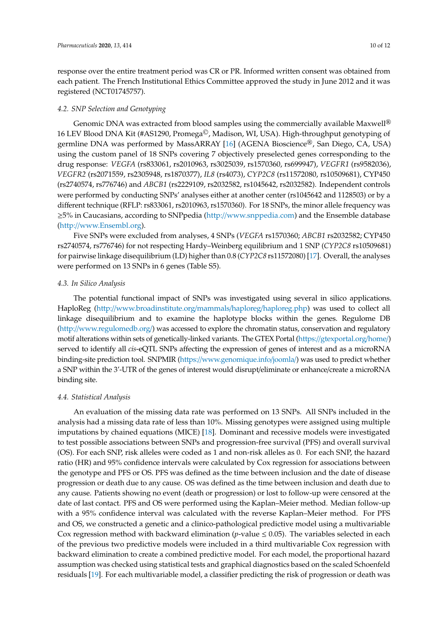response over the entire treatment period was CR or PR. Informed written consent was obtained from each patient. The French Institutional Ethics Committee approved the study in June 2012 and it was registered (NCT01745757).

#### *4.2. SNP Selection and Genotyping*

Genomic DNA was extracted from blood samples using the commercially available Maxwell<sup>®</sup> 16 LEV Blood DNA Kit (#AS1290, Promega©, Madison, WI, USA). High-throughput genotyping of germline DNA was performed by MassARRAY [\[16\]](#page-11-9) (AGENA Bioscience®, San Diego, CA, USA) using the custom panel of 18 SNPs covering 7 objectively preselected genes corresponding to the drug response: *VEGFA* (rs833061, rs2010963, rs3025039, rs1570360, rs699947), *VEGFR1* (rs9582036), *VEGFR2* (rs2071559, rs2305948, rs1870377), *IL8* (rs4073), *CYP2C8* (rs11572080, rs10509681), CYP450 (rs2740574, rs776746) and *ABCB1* (rs2229109, rs2032582, rs1045642, rs2032582). Independent controls were performed by conducting SNPs' analyses either at another center (rs1045642 and 1128503) or by a different technique (RFLP: rs833061, rs2010963, rs1570360). For 18 SNPs, the minor allele frequency was ≥5% in Caucasians, according to SNPpedia (http://[www.snppedia.com\)](http://www.snppedia.com) and the Ensemble database (http://[www.Ensembl.org\)](http://www.Ensembl.org).

Five SNPs were excluded from analyses, 4 SNPs (*VEGFA* rs1570360; *ABCB1* rs2032582; CYP450 rs2740574, rs776746) for not respecting Hardy–Weinberg equilibrium and 1 SNP (*CYP2C8* rs10509681) for pairwise linkage disequilibrium (LD) higher than 0.8 (*CYP2C8* rs11572080) [\[17\]](#page-11-10). Overall, the analyses were performed on 13 SNPs in 6 genes (Table S5).

#### *4.3. In Silico Analysis*

The potential functional impact of SNPs was investigated using several in silico applications. HaploReg (http://[www.broadinstitute.org](http://www.broadinstitute.org/mammals/haploreg/haploreg.php)/mammals/haploreg/haploreg.php) was used to collect all linkage disequilibrium and to examine the haplotype blocks within the genes. Regulome DB (http://[www.regulomedb.org](http://www.regulomedb.org/)/) was accessed to explore the chromatin status, conservation and regulatory motif alterations within sets of genetically-linked variants. The GTEX Portal (https://[gtexportal.org](https://gtexportal.org/home/)/home/) served to identify all *cis*-eQTL SNPs affecting the expression of genes of interest and as a microRNA binding-site prediction tool. SNPMIR (https://[www.genomique.info](https://www.genomique.info/joomla/)/joomla/) was used to predict whether a SNP within the 3'-UTR of the genes of interest would disrupt/eliminate or enhance/create a microRNA binding site.

#### *4.4. Statistical Analysis*

An evaluation of the missing data rate was performed on 13 SNPs. All SNPs included in the analysis had a missing data rate of less than 10%. Missing genotypes were assigned using multiple imputations by chained equations (MICE) [\[18\]](#page-11-11). Dominant and recessive models were investigated to test possible associations between SNPs and progression-free survival (PFS) and overall survival (OS). For each SNP, risk alleles were coded as 1 and non-risk alleles as 0. For each SNP, the hazard ratio (HR) and 95% confidence intervals were calculated by Cox regression for associations between the genotype and PFS or OS. PFS was defined as the time between inclusion and the date of disease progression or death due to any cause. OS was defined as the time between inclusion and death due to any cause. Patients showing no event (death or progression) or lost to follow-up were censored at the date of last contact. PFS and OS were performed using the Kaplan–Meier method. Median follow-up with a 95% confidence interval was calculated with the reverse Kaplan–Meier method. For PFS and OS, we constructed a genetic and a clinico-pathological predictive model using a multivariable Cox regression method with backward elimination ( $p$ -value  $\leq$  0.05). The variables selected in each of the previous two predictive models were included in a third multivariable Cox regression with backward elimination to create a combined predictive model. For each model, the proportional hazard assumption was checked using statistical tests and graphical diagnostics based on the scaled Schoenfeld residuals [\[19\]](#page-11-12). For each multivariable model, a classifier predicting the risk of progression or death was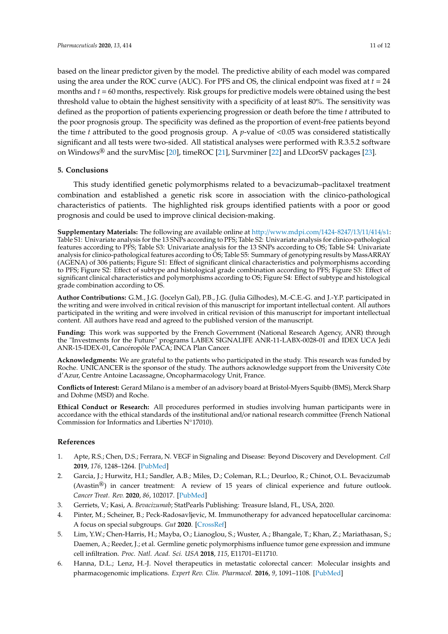based on the linear predictor given by the model. The predictive ability of each model was compared using the area under the ROC curve (AUC). For PFS and OS, the clinical endpoint was fixed at  $t = 24$ months and *t* = 60 months, respectively. Risk groups for predictive models were obtained using the best threshold value to obtain the highest sensitivity with a specificity of at least 80%. The sensitivity was defined as the proportion of patients experiencing progression or death before the time *t* attributed to the poor prognosis group. The specificity was defined as the proportion of event-free patients beyond the time *t* attributed to the good prognosis group. A *p*-value of <0.05 was considered statistically significant and all tests were two-sided. All statistical analyses were performed with R.3.5.2 software on Windows<sup>®</sup> and the survMisc [\[20\]](#page-11-13), timeROC [\[21\]](#page-11-14), Survminer [\[22\]](#page-11-15) and LDcorSV packages [\[23\]](#page-11-16).

#### **5. Conclusions**

This study identified genetic polymorphisms related to a bevacizumab–paclitaxel treatment combination and established a genetic risk score in association with the clinico-pathological characteristics of patients. The highlighted risk groups identified patients with a poor or good prognosis and could be used to improve clinical decision-making.

**Supplementary Materials:** The following are available online at http://[www.mdpi.com](http://www.mdpi.com/1424-8247/13/11/414/s1)/1424-8247/13/11/414/s1: Table S1: Univariate analysis for the 13 SNPs according to PFS; Table S2: Univariate analysis for clinico-pathological features according to PFS; Table S3: Univariate analysis for the 13 SNPs according to OS; Table S4: Univariate analysis for clinico-pathological features according to OS; Table S5: Summary of genotyping results by MassARRAY (AGENA) of 306 patients; Figure S1: Effect of significant clinical characteristics and polymorphisms according to PFS; Figure S2: Effect of subtype and histological grade combination according to PFS; Figure S3: Effect of significant clinical characteristics and polymorphisms according to OS; Figure S4: Effect of subtype and histological grade combination according to OS.

**Author Contributions:** G.M., J.G. (Jocelyn Gal), P.B., J.G. (Julia Gilhodes), M.-C.E.-G. and J.-Y.P. participated in the writing and were involved in critical revision of this manuscript for important intellectual content. All authors participated in the writing and were involved in critical revision of this manuscript for important intellectual content. All authors have read and agreed to the published version of the manuscript.

**Funding:** This work was supported by the French Government (National Research Agency, ANR) through the "Investments for the Future" programs LABEX SIGNALIFE ANR-11-LABX-0028-01 and IDEX UCA Jedi ANR-15-IDEX-01, Cancéropôle PACA; INCA Plan Cancer.

**Acknowledgments:** We are grateful to the patients who participated in the study. This research was funded by Roche. UNICANCER is the sponsor of the study. The authors acknowledge support from the University Côte d'Azur, Centre Antoine Lacassagne, Oncopharmacology Unit, France.

**Conflicts of Interest:** Gerard Milano is a member of an advisory board at Bristol-Myers Squibb (BMS), Merck Sharp and Dohme (MSD) and Roche.

**Ethical Conduct or Research:** All procedures performed in studies involving human participants were in accordance with the ethical standards of the institutional and/or national research committee (French National Commission for Informatics and Liberties N◦17010).

#### **References**

- <span id="page-10-0"></span>1. Apte, R.S.; Chen, D.S.; Ferrara, N. VEGF in Signaling and Disease: Beyond Discovery and Development. *Cell* **2019**, *176*, 1248–1264. [\[PubMed\]](http://www.ncbi.nlm.nih.gov/pubmed/30849371)
- <span id="page-10-1"></span>2. Garcia, J.; Hurwitz, H.I.; Sandler, A.B.; Miles, D.; Coleman, R.L.; Deurloo, R.; Chinot, O.L. Bevacizumab (Avastin<sup>®</sup>) in cancer treatment: A review of 15 years of clinical experience and future outlook. *Cancer Treat. Rev.* **2020**, *86*, 102017. [\[PubMed\]](http://www.ncbi.nlm.nih.gov/pubmed/32335505)
- <span id="page-10-2"></span>3. Gerriets, V.; Kasi, A. *Bevacizumab*; StatPearls Publishing: Treasure Island, FL, USA, 2020.
- <span id="page-10-3"></span>4. Pinter, M.; Scheiner, B.; Peck-Radosavljevic, M. Immunotherapy for advanced hepatocellular carcinoma: A focus on special subgroups. *Gut* **2020**. [\[CrossRef\]](http://dx.doi.org/10.1136/gutjnl-2020-321702)
- <span id="page-10-4"></span>5. Lim, Y.W.; Chen-Harris, H.; Mayba, O.; Lianoglou, S.; Wuster, A.; Bhangale, T.; Khan, Z.; Mariathasan, S.; Daemen, A.; Reeder, J.; et al. Germline genetic polymorphisms influence tumor gene expression and immune cell infiltration. *Proc. Natl. Acad. Sci. USA* **2018**, *115*, E11701–E11710.
- <span id="page-10-5"></span>6. Hanna, D.L.; Lenz, H.-J. Novel therapeutics in metastatic colorectal cancer: Molecular insights and pharmacogenomic implications. *Expert Rev. Clin. Pharmacol.* **2016**, *9*, 1091–1108. [\[PubMed\]](http://www.ncbi.nlm.nih.gov/pubmed/27031164)